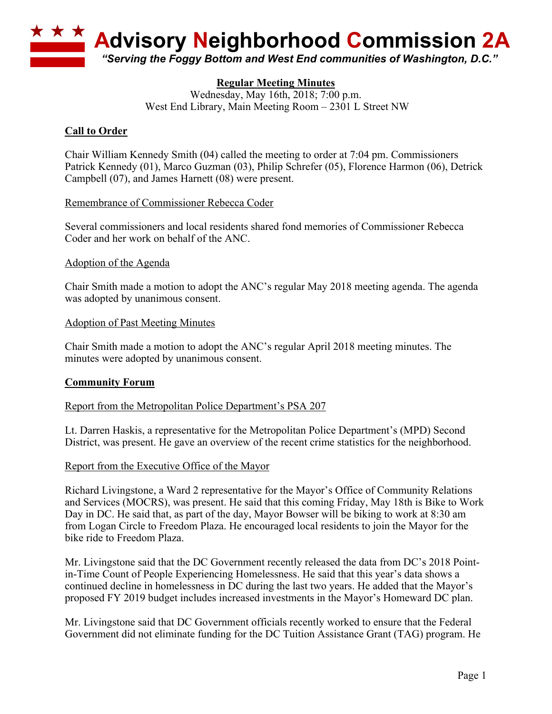

# **Regular Meeting Minutes**

Wednesday, May 16th, 2018; 7:00 p.m. West End Library, Main Meeting Room – 2301 L Street NW

# **Call to Order**

Chair William Kennedy Smith (04) called the meeting to order at 7:04 pm. Commissioners Patrick Kennedy (01), Marco Guzman (03), Philip Schrefer (05), Florence Harmon (06), Detrick Campbell (07), and James Harnett (08) were present.

## Remembrance of Commissioner Rebecca Coder

Several commissioners and local residents shared fond memories of Commissioner Rebecca Coder and her work on behalf of the ANC.

## Adoption of the Agenda

Chair Smith made a motion to adopt the ANC's regular May 2018 meeting agenda. The agenda was adopted by unanimous consent.

## Adoption of Past Meeting Minutes

Chair Smith made a motion to adopt the ANC's regular April 2018 meeting minutes. The minutes were adopted by unanimous consent.

#### **Community Forum**

#### Report from the Metropolitan Police Department's PSA 207

Lt. Darren Haskis, a representative for the Metropolitan Police Department's (MPD) Second District, was present. He gave an overview of the recent crime statistics for the neighborhood.

#### Report from the Executive Office of the Mayor

Richard Livingstone, a Ward 2 representative for the Mayor's Office of Community Relations and Services (MOCRS), was present. He said that this coming Friday, May 18th is Bike to Work Day in DC. He said that, as part of the day, Mayor Bowser will be biking to work at 8:30 am from Logan Circle to Freedom Plaza. He encouraged local residents to join the Mayor for the bike ride to Freedom Plaza.

Mr. Livingstone said that the DC Government recently released the data from DC's 2018 Pointin-Time Count of People Experiencing Homelessness. He said that this year's data shows a continued decline in homelessness in DC during the last two years. He added that the Mayor's proposed FY 2019 budget includes increased investments in the Mayor's Homeward DC plan.

Mr. Livingstone said that DC Government officials recently worked to ensure that the Federal Government did not eliminate funding for the DC Tuition Assistance Grant (TAG) program. He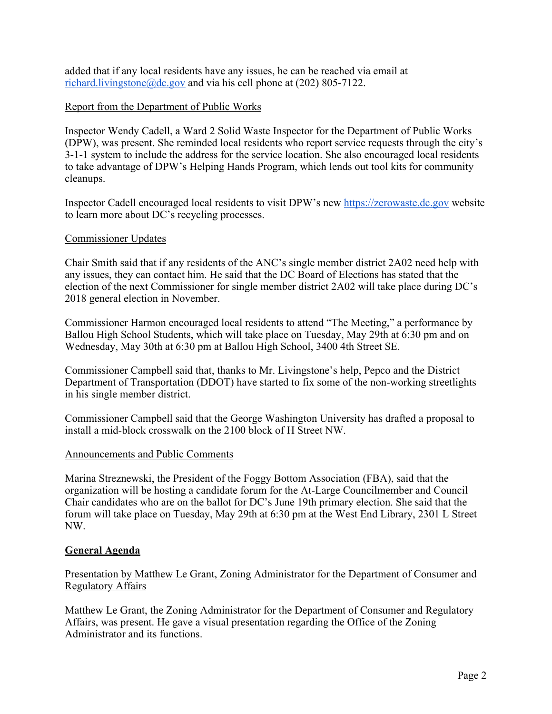added that if any local residents have any issues, he can be reached via email at richard.livingstone@dc.gov and via his cell phone at  $(202)$  805-7122.

## Report from the Department of Public Works

Inspector Wendy Cadell, a Ward 2 Solid Waste Inspector for the Department of Public Works (DPW), was present. She reminded local residents who report service requests through the city's 3-1-1 system to include the address for the service location. She also encouraged local residents to take advantage of DPW's Helping Hands Program, which lends out tool kits for community cleanups.

Inspector Cadell encouraged local residents to visit DPW's new https://zerowaste.dc.gov website to learn more about DC's recycling processes.

#### Commissioner Updates

Chair Smith said that if any residents of the ANC's single member district 2A02 need help with any issues, they can contact him. He said that the DC Board of Elections has stated that the election of the next Commissioner for single member district 2A02 will take place during DC's 2018 general election in November.

Commissioner Harmon encouraged local residents to attend "The Meeting," a performance by Ballou High School Students, which will take place on Tuesday, May 29th at 6:30 pm and on Wednesday, May 30th at 6:30 pm at Ballou High School, 3400 4th Street SE.

Commissioner Campbell said that, thanks to Mr. Livingstone's help, Pepco and the District Department of Transportation (DDOT) have started to fix some of the non-working streetlights in his single member district.

Commissioner Campbell said that the George Washington University has drafted a proposal to install a mid-block crosswalk on the 2100 block of H Street NW.

#### Announcements and Public Comments

Marina Streznewski, the President of the Foggy Bottom Association (FBA), said that the organization will be hosting a candidate forum for the At-Large Councilmember and Council Chair candidates who are on the ballot for DC's June 19th primary election. She said that the forum will take place on Tuesday, May 29th at 6:30 pm at the West End Library, 2301 L Street NW.

#### **General Agenda**

#### Presentation by Matthew Le Grant, Zoning Administrator for the Department of Consumer and Regulatory Affairs

Matthew Le Grant, the Zoning Administrator for the Department of Consumer and Regulatory Affairs, was present. He gave a visual presentation regarding the Office of the Zoning Administrator and its functions.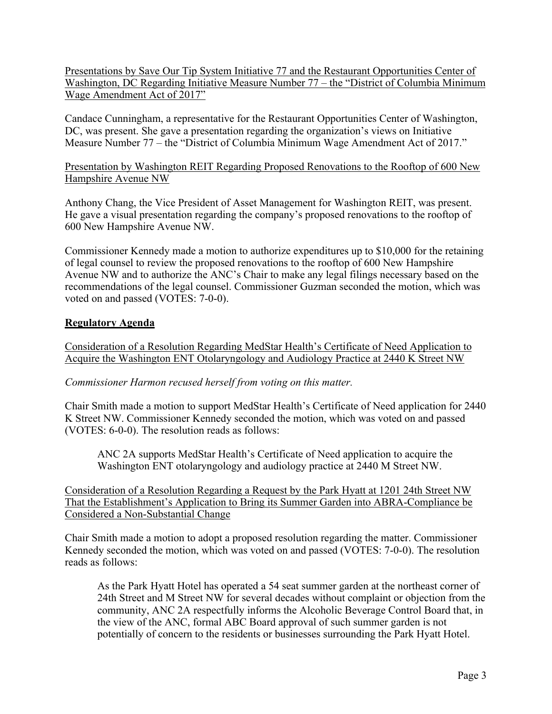Presentations by Save Our Tip System Initiative 77 and the Restaurant Opportunities Center of Washington, DC Regarding Initiative Measure Number 77 – the "District of Columbia Minimum Wage Amendment Act of 2017"

Candace Cunningham, a representative for the Restaurant Opportunities Center of Washington, DC, was present. She gave a presentation regarding the organization's views on Initiative Measure Number 77 – the "District of Columbia Minimum Wage Amendment Act of 2017."

## Presentation by Washington REIT Regarding Proposed Renovations to the Rooftop of 600 New Hampshire Avenue NW

Anthony Chang, the Vice President of Asset Management for Washington REIT, was present. He gave a visual presentation regarding the company's proposed renovations to the rooftop of 600 New Hampshire Avenue NW.

Commissioner Kennedy made a motion to authorize expenditures up to \$10,000 for the retaining of legal counsel to review the proposed renovations to the rooftop of 600 New Hampshire Avenue NW and to authorize the ANC's Chair to make any legal filings necessary based on the recommendations of the legal counsel. Commissioner Guzman seconded the motion, which was voted on and passed (VOTES: 7-0-0).

# **Regulatory Agenda**

Consideration of a Resolution Regarding MedStar Health's Certificate of Need Application to Acquire the Washington ENT Otolaryngology and Audiology Practice at 2440 K Street NW

# *Commissioner Harmon recused herself from voting on this matter.*

Chair Smith made a motion to support MedStar Health's Certificate of Need application for 2440 K Street NW. Commissioner Kennedy seconded the motion, which was voted on and passed (VOTES: 6-0-0). The resolution reads as follows:

ANC 2A supports MedStar Health's Certificate of Need application to acquire the Washington ENT otolaryngology and audiology practice at 2440 M Street NW.

Consideration of a Resolution Regarding a Request by the Park Hyatt at 1201 24th Street NW That the Establishment's Application to Bring its Summer Garden into ABRA-Compliance be Considered a Non-Substantial Change

Chair Smith made a motion to adopt a proposed resolution regarding the matter. Commissioner Kennedy seconded the motion, which was voted on and passed (VOTES: 7-0-0). The resolution reads as follows:

As the Park Hyatt Hotel has operated a 54 seat summer garden at the northeast corner of 24th Street and M Street NW for several decades without complaint or objection from the community, ANC 2A respectfully informs the Alcoholic Beverage Control Board that, in the view of the ANC, formal ABC Board approval of such summer garden is not potentially of concern to the residents or businesses surrounding the Park Hyatt Hotel.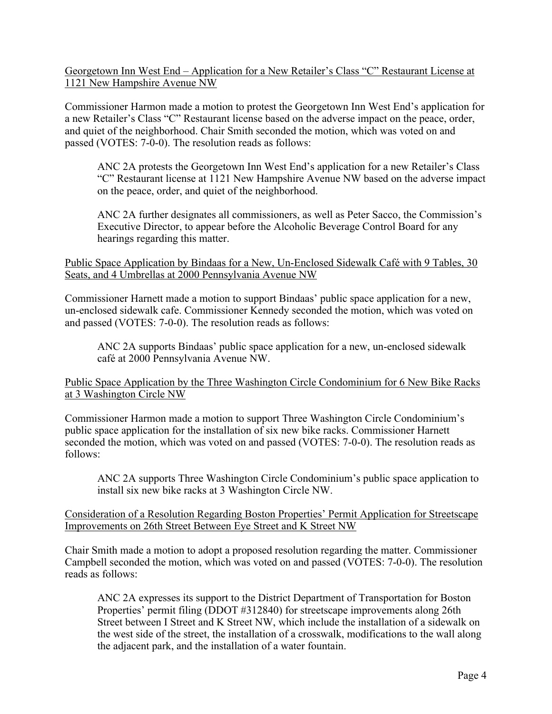Georgetown Inn West End – Application for a New Retailer's Class "C" Restaurant License at 1121 New Hampshire Avenue NW

Commissioner Harmon made a motion to protest the Georgetown Inn West End's application for a new Retailer's Class "C" Restaurant license based on the adverse impact on the peace, order, and quiet of the neighborhood. Chair Smith seconded the motion, which was voted on and passed (VOTES: 7-0-0). The resolution reads as follows:

ANC 2A protests the Georgetown Inn West End's application for a new Retailer's Class "C" Restaurant license at 1121 New Hampshire Avenue NW based on the adverse impact on the peace, order, and quiet of the neighborhood.

ANC 2A further designates all commissioners, as well as Peter Sacco, the Commission's Executive Director, to appear before the Alcoholic Beverage Control Board for any hearings regarding this matter.

Public Space Application by Bindaas for a New, Un-Enclosed Sidewalk Café with 9 Tables, 30 Seats, and 4 Umbrellas at 2000 Pennsylvania Avenue NW

Commissioner Harnett made a motion to support Bindaas' public space application for a new, un-enclosed sidewalk cafe. Commissioner Kennedy seconded the motion, which was voted on and passed (VOTES: 7-0-0). The resolution reads as follows:

ANC 2A supports Bindaas' public space application for a new, un-enclosed sidewalk café at 2000 Pennsylvania Avenue NW.

Public Space Application by the Three Washington Circle Condominium for 6 New Bike Racks at 3 Washington Circle NW

Commissioner Harmon made a motion to support Three Washington Circle Condominium's public space application for the installation of six new bike racks. Commissioner Harnett seconded the motion, which was voted on and passed (VOTES: 7-0-0). The resolution reads as follows:

ANC 2A supports Three Washington Circle Condominium's public space application to install six new bike racks at 3 Washington Circle NW.

Consideration of a Resolution Regarding Boston Properties' Permit Application for Streetscape Improvements on 26th Street Between Eye Street and K Street NW

Chair Smith made a motion to adopt a proposed resolution regarding the matter. Commissioner Campbell seconded the motion, which was voted on and passed (VOTES: 7-0-0). The resolution reads as follows:

ANC 2A expresses its support to the District Department of Transportation for Boston Properties' permit filing (DDOT #312840) for streetscape improvements along 26th Street between I Street and K Street NW, which include the installation of a sidewalk on the west side of the street, the installation of a crosswalk, modifications to the wall along the adjacent park, and the installation of a water fountain.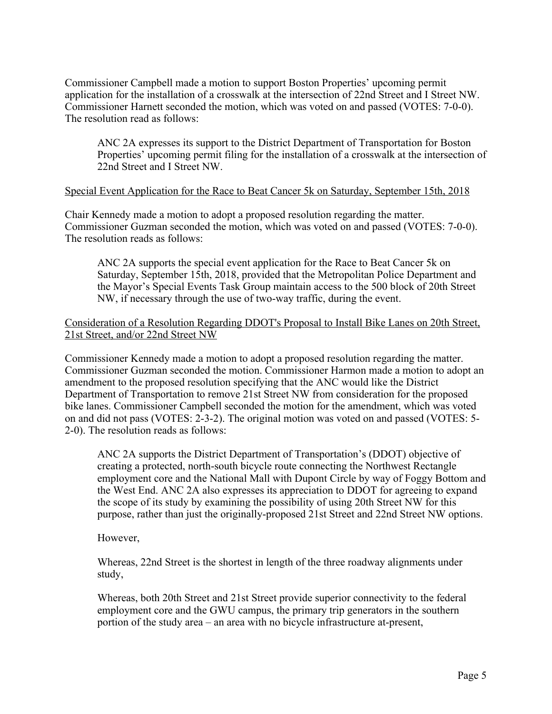Commissioner Campbell made a motion to support Boston Properties' upcoming permit application for the installation of a crosswalk at the intersection of 22nd Street and I Street NW. Commissioner Harnett seconded the motion, which was voted on and passed (VOTES: 7-0-0). The resolution read as follows:

ANC 2A expresses its support to the District Department of Transportation for Boston Properties' upcoming permit filing for the installation of a crosswalk at the intersection of 22nd Street and I Street NW.

#### Special Event Application for the Race to Beat Cancer 5k on Saturday, September 15th, 2018

Chair Kennedy made a motion to adopt a proposed resolution regarding the matter. Commissioner Guzman seconded the motion, which was voted on and passed (VOTES: 7-0-0). The resolution reads as follows:

ANC 2A supports the special event application for the Race to Beat Cancer 5k on Saturday, September 15th, 2018, provided that the Metropolitan Police Department and the Mayor's Special Events Task Group maintain access to the 500 block of 20th Street NW, if necessary through the use of two-way traffic, during the event.

#### Consideration of a Resolution Regarding DDOT's Proposal to Install Bike Lanes on 20th Street, 21st Street, and/or 22nd Street NW

Commissioner Kennedy made a motion to adopt a proposed resolution regarding the matter. Commissioner Guzman seconded the motion. Commissioner Harmon made a motion to adopt an amendment to the proposed resolution specifying that the ANC would like the District Department of Transportation to remove 21st Street NW from consideration for the proposed bike lanes. Commissioner Campbell seconded the motion for the amendment, which was voted on and did not pass (VOTES: 2-3-2). The original motion was voted on and passed (VOTES: 5- 2-0). The resolution reads as follows:

ANC 2A supports the District Department of Transportation's (DDOT) objective of creating a protected, north-south bicycle route connecting the Northwest Rectangle employment core and the National Mall with Dupont Circle by way of Foggy Bottom and the West End. ANC 2A also expresses its appreciation to DDOT for agreeing to expand the scope of its study by examining the possibility of using 20th Street NW for this purpose, rather than just the originally-proposed 21st Street and 22nd Street NW options.

However,

Whereas, 22nd Street is the shortest in length of the three roadway alignments under study,

Whereas, both 20th Street and 21st Street provide superior connectivity to the federal employment core and the GWU campus, the primary trip generators in the southern portion of the study area – an area with no bicycle infrastructure at-present,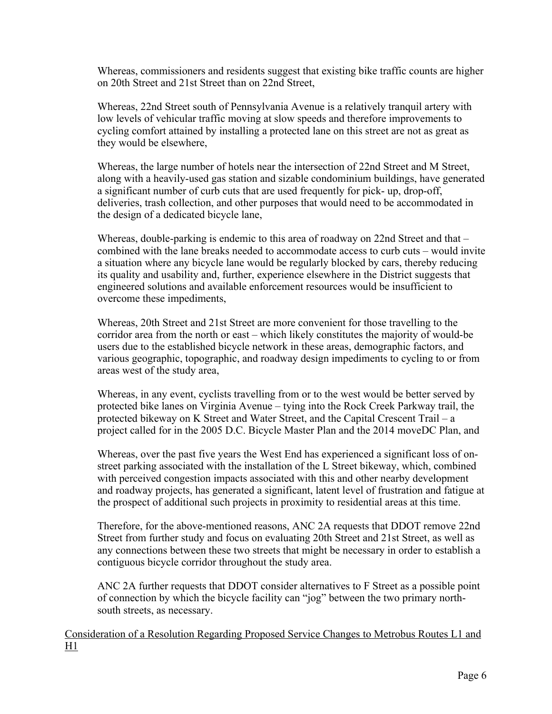Whereas, commissioners and residents suggest that existing bike traffic counts are higher on 20th Street and 21st Street than on 22nd Street,

Whereas, 22nd Street south of Pennsylvania Avenue is a relatively tranquil artery with low levels of vehicular traffic moving at slow speeds and therefore improvements to cycling comfort attained by installing a protected lane on this street are not as great as they would be elsewhere,

Whereas, the large number of hotels near the intersection of 22nd Street and M Street, along with a heavily-used gas station and sizable condominium buildings, have generated a significant number of curb cuts that are used frequently for pick- up, drop-off, deliveries, trash collection, and other purposes that would need to be accommodated in the design of a dedicated bicycle lane,

Whereas, double-parking is endemic to this area of roadway on 22nd Street and that – combined with the lane breaks needed to accommodate access to curb cuts – would invite a situation where any bicycle lane would be regularly blocked by cars, thereby reducing its quality and usability and, further, experience elsewhere in the District suggests that engineered solutions and available enforcement resources would be insufficient to overcome these impediments,

Whereas, 20th Street and 21st Street are more convenient for those travelling to the corridor area from the north or east – which likely constitutes the majority of would-be users due to the established bicycle network in these areas, demographic factors, and various geographic, topographic, and roadway design impediments to cycling to or from areas west of the study area,

Whereas, in any event, cyclists travelling from or to the west would be better served by protected bike lanes on Virginia Avenue – tying into the Rock Creek Parkway trail, the protected bikeway on K Street and Water Street, and the Capital Crescent Trail – a project called for in the 2005 D.C. Bicycle Master Plan and the 2014 moveDC Plan, and

Whereas, over the past five years the West End has experienced a significant loss of onstreet parking associated with the installation of the L Street bikeway, which, combined with perceived congestion impacts associated with this and other nearby development and roadway projects, has generated a significant, latent level of frustration and fatigue at the prospect of additional such projects in proximity to residential areas at this time.

Therefore, for the above-mentioned reasons, ANC 2A requests that DDOT remove 22nd Street from further study and focus on evaluating 20th Street and 21st Street, as well as any connections between these two streets that might be necessary in order to establish a contiguous bicycle corridor throughout the study area.

ANC 2A further requests that DDOT consider alternatives to F Street as a possible point of connection by which the bicycle facility can "jog" between the two primary northsouth streets, as necessary.

Consideration of a Resolution Regarding Proposed Service Changes to Metrobus Routes L1 and H1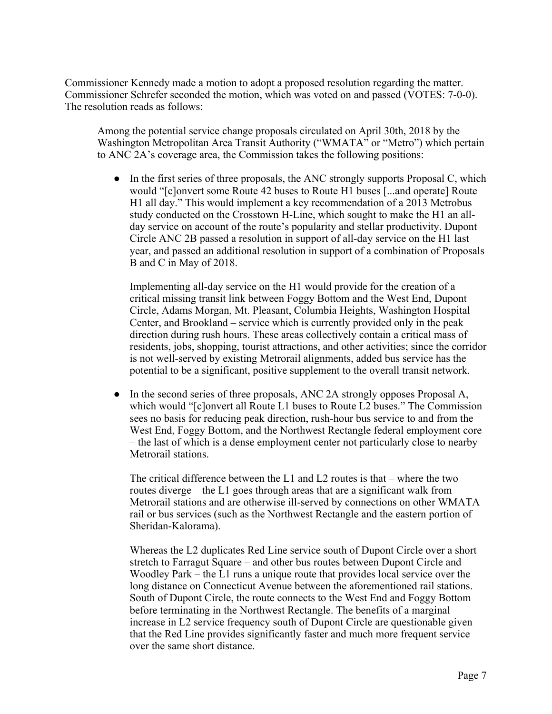Commissioner Kennedy made a motion to adopt a proposed resolution regarding the matter. Commissioner Schrefer seconded the motion, which was voted on and passed (VOTES: 7-0-0). The resolution reads as follows:

Among the potential service change proposals circulated on April 30th, 2018 by the Washington Metropolitan Area Transit Authority ("WMATA" or "Metro") which pertain to ANC 2A's coverage area, the Commission takes the following positions:

• In the first series of three proposals, the ANC strongly supports Proposal C, which would "[c]onvert some Route 42 buses to Route H1 buses [...and operate] Route H1 all day." This would implement a key recommendation of a 2013 Metrobus study conducted on the Crosstown H-Line, which sought to make the H1 an allday service on account of the route's popularity and stellar productivity. Dupont Circle ANC 2B passed a resolution in support of all-day service on the H1 last year, and passed an additional resolution in support of a combination of Proposals B and C in May of 2018.

Implementing all-day service on the H1 would provide for the creation of a critical missing transit link between Foggy Bottom and the West End, Dupont Circle, Adams Morgan, Mt. Pleasant, Columbia Heights, Washington Hospital Center, and Brookland – service which is currently provided only in the peak direction during rush hours. These areas collectively contain a critical mass of residents, jobs, shopping, tourist attractions, and other activities; since the corridor is not well-served by existing Metrorail alignments, added bus service has the potential to be a significant, positive supplement to the overall transit network.

• In the second series of three proposals, ANC 2A strongly opposes Proposal A, which would "[c]onvert all Route L1 buses to Route L2 buses." The Commission sees no basis for reducing peak direction, rush-hour bus service to and from the West End, Foggy Bottom, and the Northwest Rectangle federal employment core – the last of which is a dense employment center not particularly close to nearby Metrorail stations.

The critical difference between the L1 and L2 routes is that – where the two routes diverge – the L1 goes through areas that are a significant walk from Metrorail stations and are otherwise ill-served by connections on other WMATA rail or bus services (such as the Northwest Rectangle and the eastern portion of Sheridan-Kalorama).

Whereas the L2 duplicates Red Line service south of Dupont Circle over a short stretch to Farragut Square – and other bus routes between Dupont Circle and Woodley Park – the L1 runs a unique route that provides local service over the long distance on Connecticut Avenue between the aforementioned rail stations. South of Dupont Circle, the route connects to the West End and Foggy Bottom before terminating in the Northwest Rectangle. The benefits of a marginal increase in L2 service frequency south of Dupont Circle are questionable given that the Red Line provides significantly faster and much more frequent service over the same short distance.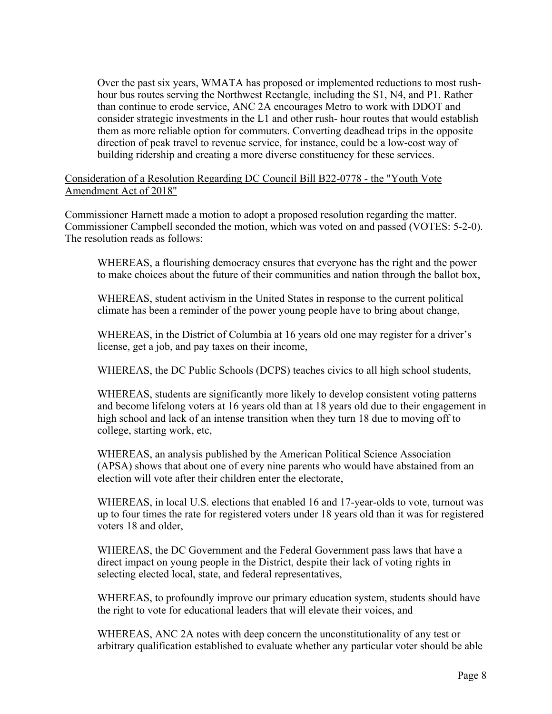Over the past six years, WMATA has proposed or implemented reductions to most rushhour bus routes serving the Northwest Rectangle, including the S1, N4, and P1. Rather than continue to erode service, ANC 2A encourages Metro to work with DDOT and consider strategic investments in the L1 and other rush- hour routes that would establish them as more reliable option for commuters. Converting deadhead trips in the opposite direction of peak travel to revenue service, for instance, could be a low-cost way of building ridership and creating a more diverse constituency for these services.

#### Consideration of a Resolution Regarding DC Council Bill B22-0778 - the "Youth Vote Amendment Act of 2018"

Commissioner Harnett made a motion to adopt a proposed resolution regarding the matter. Commissioner Campbell seconded the motion, which was voted on and passed (VOTES: 5-2-0). The resolution reads as follows:

WHEREAS, a flourishing democracy ensures that everyone has the right and the power to make choices about the future of their communities and nation through the ballot box,

WHEREAS, student activism in the United States in response to the current political climate has been a reminder of the power young people have to bring about change,

WHEREAS, in the District of Columbia at 16 years old one may register for a driver's license, get a job, and pay taxes on their income,

WHEREAS, the DC Public Schools (DCPS) teaches civics to all high school students,

WHEREAS, students are significantly more likely to develop consistent voting patterns and become lifelong voters at 16 years old than at 18 years old due to their engagement in high school and lack of an intense transition when they turn 18 due to moving off to college, starting work, etc,

WHEREAS, an analysis published by the American Political Science Association (APSA) shows that about one of every nine parents who would have abstained from an election will vote after their children enter the electorate,

WHEREAS, in local U.S. elections that enabled 16 and 17-year-olds to vote, turnout was up to four times the rate for registered voters under 18 years old than it was for registered voters 18 and older,

WHEREAS, the DC Government and the Federal Government pass laws that have a direct impact on young people in the District, despite their lack of voting rights in selecting elected local, state, and federal representatives,

WHEREAS, to profoundly improve our primary education system, students should have the right to vote for educational leaders that will elevate their voices, and

WHEREAS, ANC 2A notes with deep concern the unconstitutionality of any test or arbitrary qualification established to evaluate whether any particular voter should be able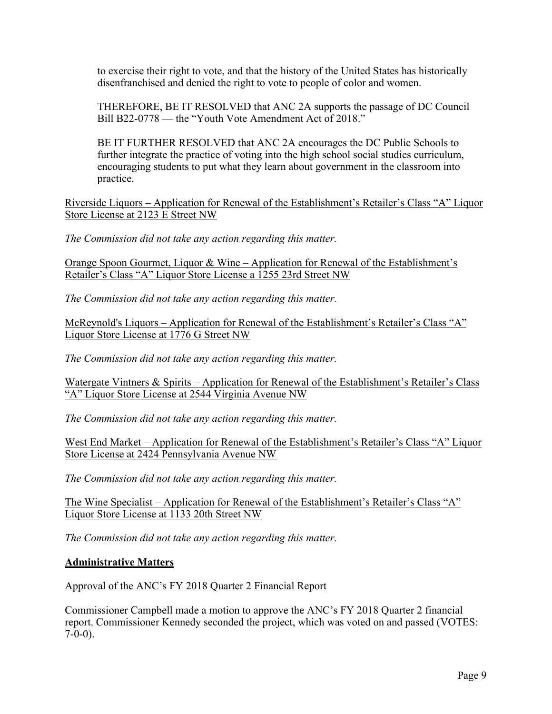to exercise their right to vote, and that the history of the United States has historically disenfranchised and denied the right to vote to people of color and women.

THEREFORE, BE IT RESOLVED that ANC 2A supports the passage of DC Council Bill B22-0778 — the "Youth Vote Amendment Act of 2018."

BE IT FURTHER RESOLVED that ANC 2A encourages the DC Public Schools to further integrate the practice of voting into the high school social studies curriculum, encouraging students to put what they learn about government in the classroom into practice.

Riverside Liquors – Application for Renewal of the Establishment's Retailer's Class "A" Liquor Store License at 2123 E Street NW

*The Commission did not take any action regarding this matter.*

Orange Spoon Gourmet, Liquor & Wine – Application for Renewal of the Establishment's Retailer's Class "A" Liquor Store License a 1255 23rd Street NW

*The Commission did not take any action regarding this matter.*

McReynold's Liquors – Application for Renewal of the Establishment's Retailer's Class "A" Liquor Store License at 1776 G Street NW

*The Commission did not take any action regarding this matter.*

Watergate Vintners & Spirits – Application for Renewal of the Establishment's Retailer's Class "A" Liquor Store License at 2544 Virginia Avenue NW

*The Commission did not take any action regarding this matter.*

West End Market – Application for Renewal of the Establishment's Retailer's Class "A" Liquor Store License at 2424 Pennsylvania Avenue NW

*The Commission did not take any action regarding this matter.*

The Wine Specialist – Application for Renewal of the Establishment's Retailer's Class "A" Liquor Store License at 1133 20th Street NW

*The Commission did not take any action regarding this matter.*

# **Administrative Matters**

Approval of the ANC's FY 2018 Quarter 2 Financial Report

Commissioner Campbell made a motion to approve the ANC's FY 2018 Quarter 2 financial report. Commissioner Kennedy seconded the project, which was voted on and passed (VOTES:  $7-0-0$ ).